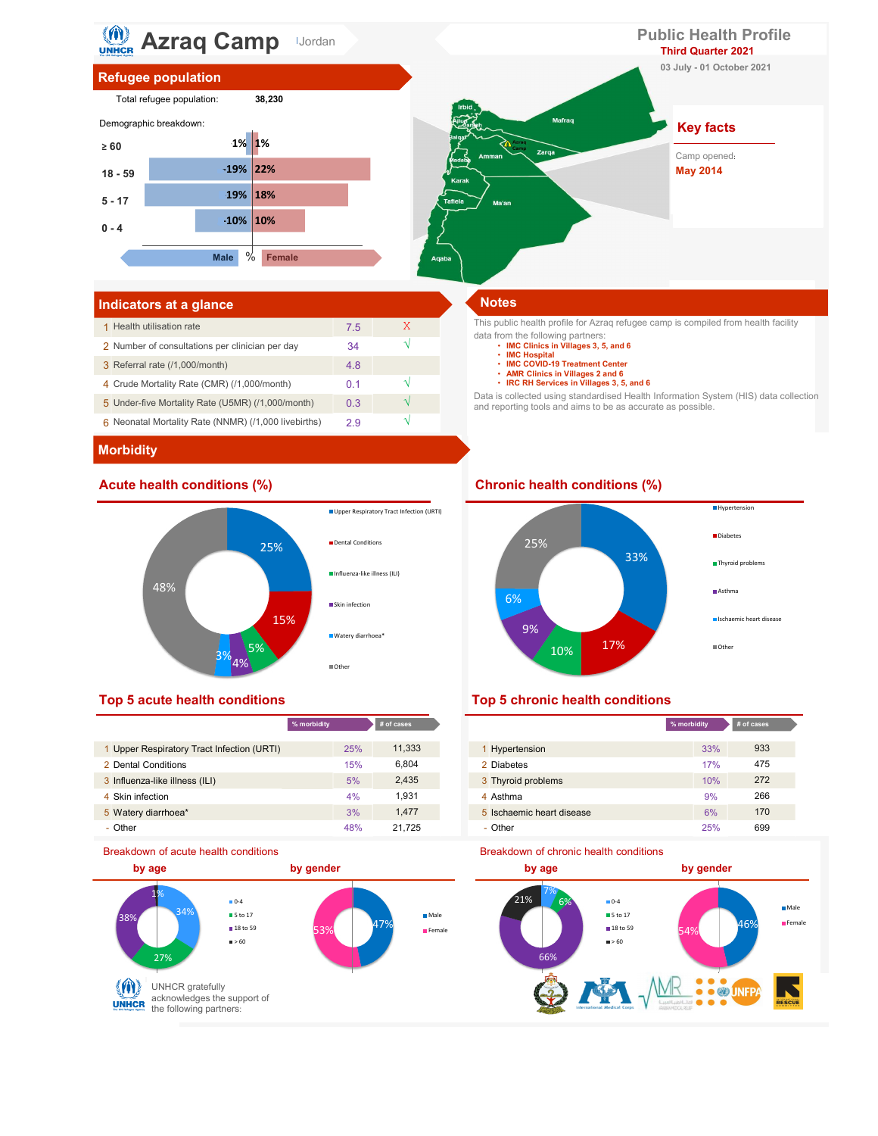

# Indicators at a glance Notes and Security and Security and Security and Security and Security and Security and

| 1 Health utilisation rate                            | 7.5 |  |
|------------------------------------------------------|-----|--|
| 2 Number of consultations per clinician per day      | 34  |  |
| 3 Referral rate (/1,000/month)                       | 4.8 |  |
| 4 Crude Mortality Rate (CMR) (/1,000/month)          | 0.1 |  |
| 5 Under-five Mortality Rate (U5MR) (/1,000/month)    | 0.3 |  |
| 6 Neonatal Mortality Rate (NNMR) (/1,000 livebirths) | 29  |  |

This public health profile for Azraq refugee camp is compiled from health facility data from the following partners: • IMC Clinics in Villages 3, 5, and 6

- 
- IMC Hospital<br>• IMC COVID-19 Treatment Center
- 
- AMR Clinics in Villages 2 and 6 IRC RH Services in Villages 3, 5, and 6

Data is collected using standardised Health Information System (HIS) data collection and reporting tools and aims to be as accurate as possible.

## **Morbidity**



|                                            | % morbidity | # of cases |                           | % morbidity |
|--------------------------------------------|-------------|------------|---------------------------|-------------|
|                                            |             |            |                           |             |
| 1 Upper Respiratory Tract Infection (URTI) | 25%         | 11,333     | <b>Hypertension</b>       | 33%         |
| 2 Dental Conditions                        | 15%         | 6.804      | 2 Diabetes                | 17%         |
| 3 Influenza-like illness (ILI)             | 5%          | 2.435      | 3 Thyroid problems        | 10%         |
| 4 Skin infection                           | 4%          | 1.931      | 4 Asthma                  | 9%          |
| 5 Watery diarrhoea*                        | 3%          | 1.477      | 5 Ischaemic heart disease | 6%          |
| - Other                                    | 48%         | 21.725     | - Other                   | 25%         |





| cases  |                           | % morbidity | # of cases |
|--------|---------------------------|-------------|------------|
| 11,333 | 1 Hypertension            | 33%         | 933        |
| 6,804  | 2 Diabetes                | 17%         | 475        |
| 2,435  | 3 Thyroid problems        | 10%         | 272        |
| 1,931  | 4 Asthma                  | 9%          | 266        |
| 1,477  | 5 Ischaemic heart disease | 6%          | 170        |
| 21,725 | - Other                   | 25%         | 699        |